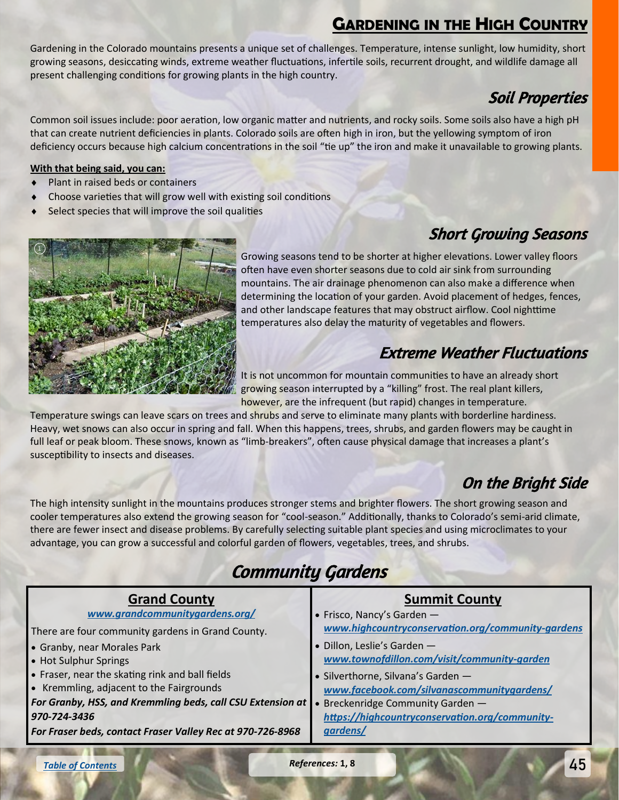## **GARDENING IN THE HIGH COUNTRY**

<span id="page-0-0"></span>Gardening in the Colorado mountains presents a unique set of challenges. Temperature, intense sunlight, low humidity, short growing seasons, desiccating winds, extreme weather fluctuations, infertile soils, recurrent drought, and wildlife damage all present challenging conditions for growing plants in the high country.

## Soil Properties

Common soil issues include: poor aeration, low organic matter and nutrients, and rocky soils. Some soils also have a high pH that can create nutrient deficiencies in plants. Colorado soils are often high in iron, but the yellowing symptom of iron deficiency occurs because high calcium concentrations in the soil "tie up" the iron and make it unavailable to growing plants.

#### **With that being said, you can:**

- Plant in raised beds or containers
- Choose varieties that will grow well with existing soil conditions
- Select species that will improve the soil qualities

## Short Growing Seasons



Growing seasons tend to be shorter at higher elevations. Lower valley floors often have even shorter seasons due to cold air sink from surrounding mountains. The air drainage phenomenon can also make a difference when determining the location of your garden. Avoid placement of hedges, fences, and other landscape features that may obstruct airflow. Cool nighttime temperatures also delay the maturity of vegetables and flowers.

#### Extreme Weather Fluctuations

It is not uncommon for mountain communities to have an already short growing season interrupted by a "killing" frost. The real plant killers, however, are the infrequent (but rapid) changes in temperature.

Temperature swings can leave scars on trees and shrubs and serve to eliminate many plants with borderline hardiness. Heavy, wet snows can also occur in spring and fall. When this happens, trees, shrubs, and garden flowers may be caught in full leaf or peak bloom. These snows, known as "limb-breakers", often cause physical damage that increases a plant's susceptibility to insects and diseases.

### On the Bright Side

The high intensity sunlight in the mountains produces stronger stems and brighter flowers. The short growing season and cooler temperatures also extend the growing season for "cool-season." Additionally, thanks to Colorado's semi-arid climate, there are fewer insect and disease problems. By carefully selecting suitable plant species and using microclimates to your advantage, you can grow a successful and colorful garden of flowers, vegetables, trees, and shrubs.

# Community Gardens

| <b>Grand County</b>                                        | <b>Summit County</b>                              |
|------------------------------------------------------------|---------------------------------------------------|
| www.grandcommunitygardens.org/                             | • Frisco, Nancy's Garden $-$                      |
| There are four community gardens in Grand County.          | www.highcountryconservation.org/community-gardens |
| Granby, near Morales Park                                  | · Dillon, Leslie's Garden -                       |
| • Hot Sulphur Springs                                      | www.townofdillon.com/visit/community-garden       |
| • Fraser, near the skating rink and ball fields            | · Silverthorne, Silvana's Garden -                |
| • Kremmling, adjacent to the Fairgrounds                   | www.facebook.com/silvanascommunitygardens/        |
| For Granby, HSS, and Kremmling beds, call CSU Extension at | • Breckenridge Community Garden -                 |
| 970-724-3436                                               | https://highcountryconservation.org/community-    |
| For Fraser beds, contact Fraser Valley Rec at 970-726-8968 | gardens/                                          |

*[Table of Contents](#page-0-0)*